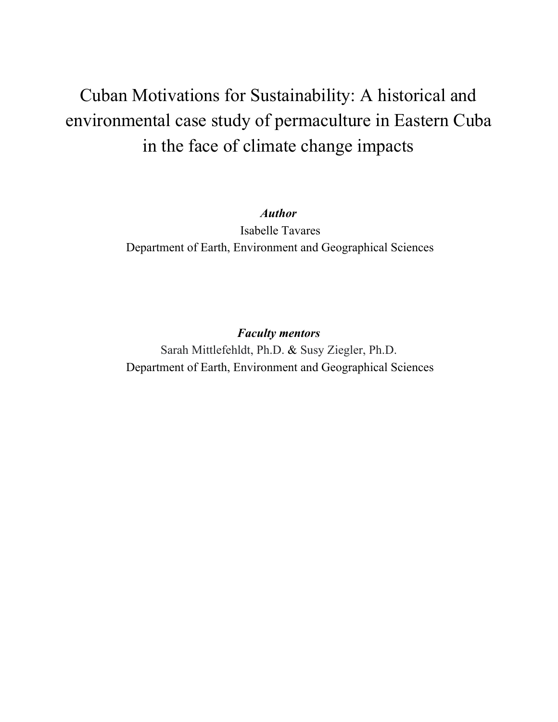# Cuban Motivations for Sustainability: A historical and environmental case study of permaculture in Eastern Cuba in the face of climate change impacts

#### *Author*

 Isabelle Tavares Department of Earth, Environment and Geographical Sciences

## *Faculty mentors*

Sarah Mittlefehldt, Ph.D. & Susy Ziegler, Ph.D. Department of Earth, Environment and Geographical Sciences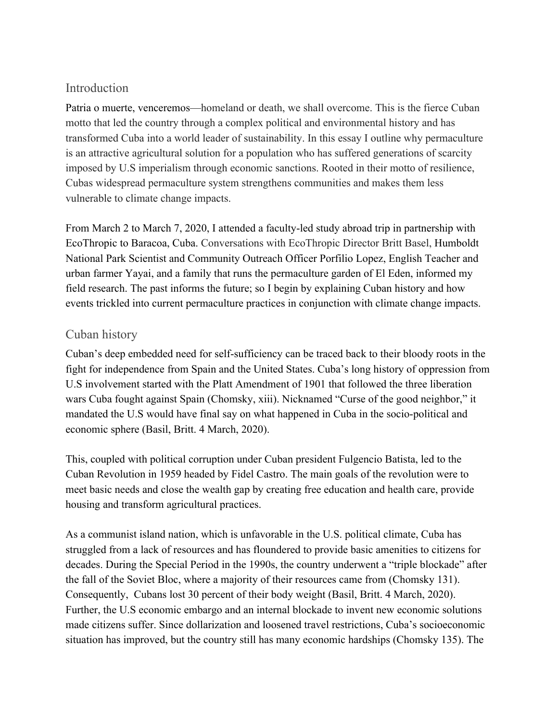### Introduction

Patria o muerte, venceremos—homeland or death, we shall overcome. This is the fierce Cuban motto that led the country through a complex political and environmental history and has transformed Cuba into a world leader of sustainability. In this essay I outline why permaculture is an attractive agricultural solution for a population who has suffered generations of scarcity imposed by U.S imperialism through economic sanctions. Rooted in their motto of resilience, Cubas widespread permaculture system strengthens communities and makes them less vulnerable to climate change impacts.

From March 2 to March 7, 2020, I attended a faculty-led study abroad trip in partnership with EcoThropic to Baracoa, Cuba. Conversations with EcoThropic Director Britt Basel, Humboldt National Park Scientist and Community Outreach Officer Porfilio Lopez, English Teacher and urban farmer Yayai, and a family that runs the permaculture garden of El Eden, informed my field research. The past informs the future; so I begin by explaining Cuban history and how events trickled into current permaculture practices in conjunction with climate change impacts.

## Cuban history

Cuban's deep embedded need for self-sufficiency can be traced back to their bloody roots in the fight for independence from Spain and the United States. Cuba's long history of oppression from U.S involvement started with the Platt Amendment of 1901 that followed the three liberation wars Cuba fought against Spain (Chomsky, xiii). Nicknamed "Curse of the good neighbor," it mandated the U.S would have final say on what happened in Cuba in the socio-political and economic sphere (Basil, Britt. 4 March, 2020).

This, coupled with political corruption under Cuban president Fulgencio Batista, led to the Cuban Revolution in 1959 headed by Fidel Castro. The main goals of the revolution were to meet basic needs and close the wealth gap by creating free education and health care, provide housing and transform agricultural practices.

As a communist island nation, which is unfavorable in the U.S. political climate, Cuba has struggled from a lack of resources and has floundered to provide basic amenities to citizens for decades. During the Special Period in the 1990s, the country underwent a "triple blockade" after the fall of the Soviet Bloc, where a majority of their resources came from (Chomsky 131). Consequently, Cubans lost 30 percent of their body weight (Basil, Britt. 4 March, 2020). Further, the U.S economic embargo and an internal blockade to invent new economic solutions made citizens suffer. Since dollarization and loosened travel restrictions, Cuba's socioeconomic situation has improved, but the country still has many economic hardships (Chomsky 135). The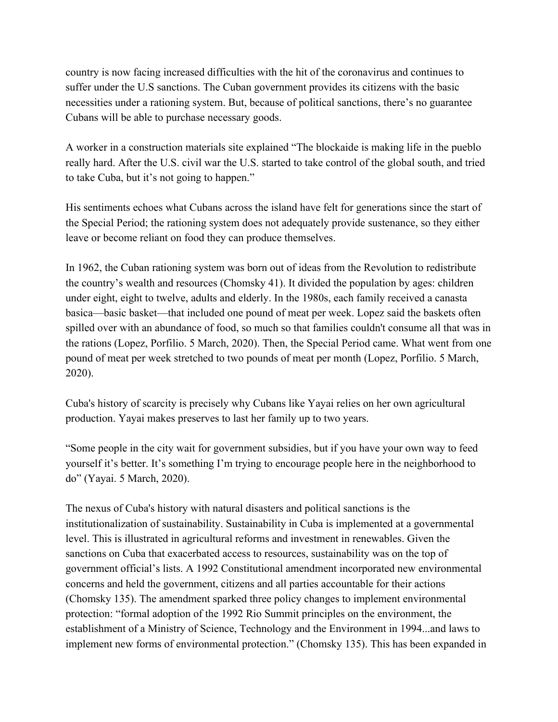country is now facing increased difficulties with the hit of the coronavirus and continues to suffer under the U.S sanctions. The Cuban government provides its citizens with the basic necessities under a rationing system. But, because of political sanctions, there's no guarantee Cubans will be able to purchase necessary goods.

A worker in a construction materials site explained "The blockaide is making life in the pueblo really hard. After the U.S. civil war the U.S. started to take control of the global south, and tried to take Cuba, but it's not going to happen."

His sentiments echoes what Cubans across the island have felt for generations since the start of the Special Period; the rationing system does not adequately provide sustenance, so they either leave or become reliant on food they can produce themselves.

In 1962, the Cuban rationing system was born out of ideas from the Revolution to redistribute the country's wealth and resources (Chomsky 41). It divided the population by ages: children under eight, eight to twelve, adults and elderly. In the 1980s, each family received a canasta basica—basic basket—that included one pound of meat per week. Lopez said the baskets often spilled over with an abundance of food, so much so that families couldn't consume all that was in the rations (Lopez, Porfilio. 5 March, 2020). Then, the Special Period came. What went from one pound of meat per week stretched to two pounds of meat per month (Lopez, Porfilio. 5 March, 2020).

Cuba's history of scarcity is precisely why Cubans like Yayai relies on her own agricultural production. Yayai makes preserves to last her family up to two years.

"Some people in the city wait for government subsidies, but if you have your own way to feed yourself it's better. It's something I'm trying to encourage people here in the neighborhood to do" (Yayai. 5 March, 2020).

The nexus of Cuba's history with natural disasters and political sanctions is the institutionalization of sustainability. Sustainability in Cuba is implemented at a governmental level. This is illustrated in agricultural reforms and investment in renewables. Given the sanctions on Cuba that exacerbated access to resources, sustainability was on the top of government official's lists. A 1992 Constitutional amendment incorporated new environmental concerns and held the government, citizens and all parties accountable for their actions (Chomsky 135). The amendment sparked three policy changes to implement environmental protection: "formal adoption of the 1992 Rio Summit principles on the environment, the establishment of a Ministry of Science, Technology and the Environment in 1994...and laws to implement new forms of environmental protection." (Chomsky 135). This has been expanded in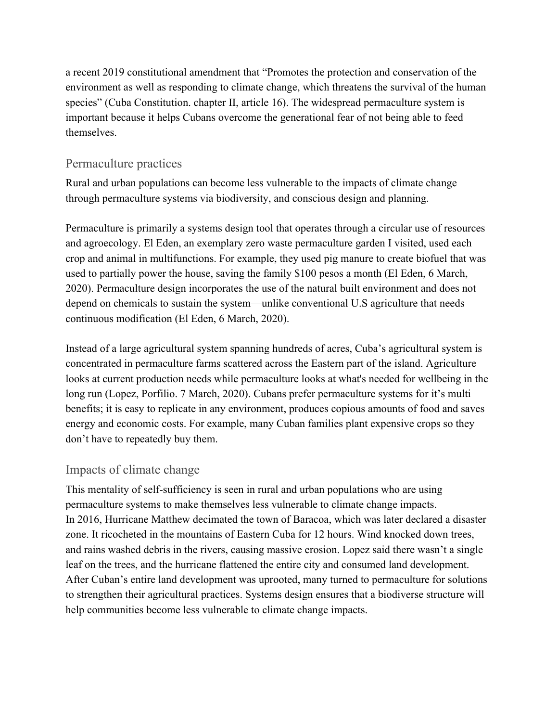a recent 2019 constitutional amendment that "Promotes the protection and conservation of the environment as well as responding to climate change, which threatens the survival of the human species" (Cuba Constitution. chapter II, article 16). The widespread permaculture system is important because it helps Cubans overcome the generational fear of not being able to feed themselves.

#### Permaculture practices

Rural and urban populations can become less vulnerable to the impacts of climate change through permaculture systems via biodiversity, and conscious design and planning.

Permaculture is primarily a systems design tool that operates through a circular use of resources and agroecology. El Eden, an exemplary zero waste permaculture garden I visited, used each crop and animal in multifunctions. For example, they used pig manure to create biofuel that was used to partially power the house, saving the family \$100 pesos a month (El Eden, 6 March, 2020). Permaculture design incorporates the use of the natural built environment and does not depend on chemicals to sustain the system—unlike conventional U.S agriculture that needs continuous modification (El Eden, 6 March, 2020).

Instead of a large agricultural system spanning hundreds of acres, Cuba's agricultural system is concentrated in permaculture farms scattered across the Eastern part of the island. Agriculture looks at current production needs while permaculture looks at what's needed for wellbeing in the long run (Lopez, Porfilio. 7 March, 2020). Cubans prefer permaculture systems for it's multi benefits; it is easy to replicate in any environment, produces copious amounts of food and saves energy and economic costs. For example, many Cuban families plant expensive crops so they don't have to repeatedly buy them.

## Impacts of climate change

This mentality of self-sufficiency is seen in rural and urban populations who are using permaculture systems to make themselves less vulnerable to climate change impacts. In 2016, Hurricane Matthew decimated the town of Baracoa, which was later declared a disaster zone. It ricocheted in the mountains of Eastern Cuba for 12 hours. Wind knocked down trees, and rains washed debris in the rivers, causing massive erosion. Lopez said there wasn't a single leaf on the trees, and the hurricane flattened the entire city and consumed land development. After Cuban's entire land development was uprooted, many turned to permaculture for solutions to strengthen their agricultural practices. Systems design ensures that a biodiverse structure will help communities become less vulnerable to climate change impacts.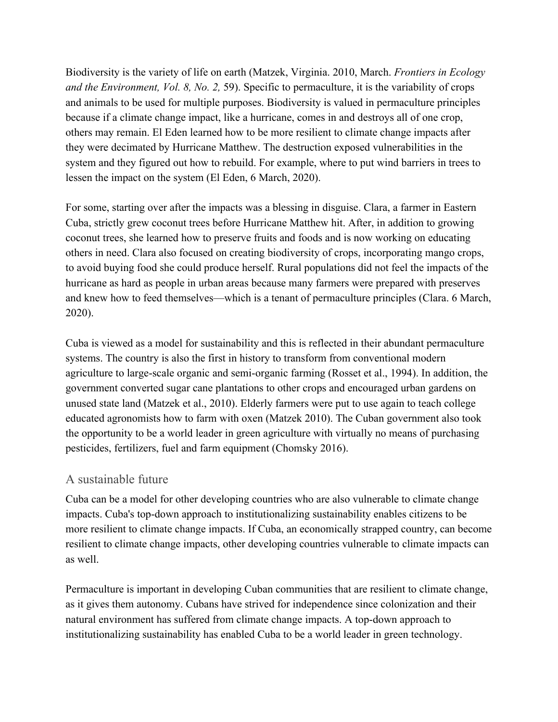Biodiversity is the variety of life on earth (Matzek, Virginia. 2010, March. *Frontiers in Ecology and the Environment, Vol. 8, No. 2,* 59). Specific to permaculture, it is the variability of crops and animals to be used for multiple purposes. Biodiversity is valued in permaculture principles because if a climate change impact, like a hurricane, comes in and destroys all of one crop, others may remain. El Eden learned how to be more resilient to climate change impacts after they were decimated by Hurricane Matthew. The destruction exposed vulnerabilities in the system and they figured out how to rebuild. For example, where to put wind barriers in trees to lessen the impact on the system (El Eden, 6 March, 2020).

For some, starting over after the impacts was a blessing in disguise. Clara, a farmer in Eastern Cuba, strictly grew coconut trees before Hurricane Matthew hit. After, in addition to growing coconut trees, she learned how to preserve fruits and foods and is now working on educating others in need. Clara also focused on creating biodiversity of crops, incorporating mango crops, to avoid buying food she could produce herself. Rural populations did not feel the impacts of the hurricane as hard as people in urban areas because many farmers were prepared with preserves and knew how to feed themselves—which is a tenant of permaculture principles (Clara. 6 March, 2020).

Cuba is viewed as a model for sustainability and this is reflected in their abundant permaculture systems. The country is also the first in history to transform from conventional modern agriculture to large-scale organic and semi-organic farming (Rosset et al., 1994). In addition, the government converted sugar cane plantations to other crops and encouraged urban gardens on unused state land (Matzek et al., 2010). Elderly farmers were put to use again to teach college educated agronomists how to farm with oxen (Matzek 2010). The Cuban government also took the opportunity to be a world leader in green agriculture with virtually no means of purchasing pesticides, fertilizers, fuel and farm equipment (Chomsky 2016).

#### A sustainable future

Cuba can be a model for other developing countries who are also vulnerable to climate change impacts. Cuba's top-down approach to institutionalizing sustainability enables citizens to be more resilient to climate change impacts. If Cuba, an economically strapped country, can become resilient to climate change impacts, other developing countries vulnerable to climate impacts can as well.

Permaculture is important in developing Cuban communities that are resilient to climate change, as it gives them autonomy. Cubans have strived for independence since colonization and their natural environment has suffered from climate change impacts. A top-down approach to institutionalizing sustainability has enabled Cuba to be a world leader in green technology.